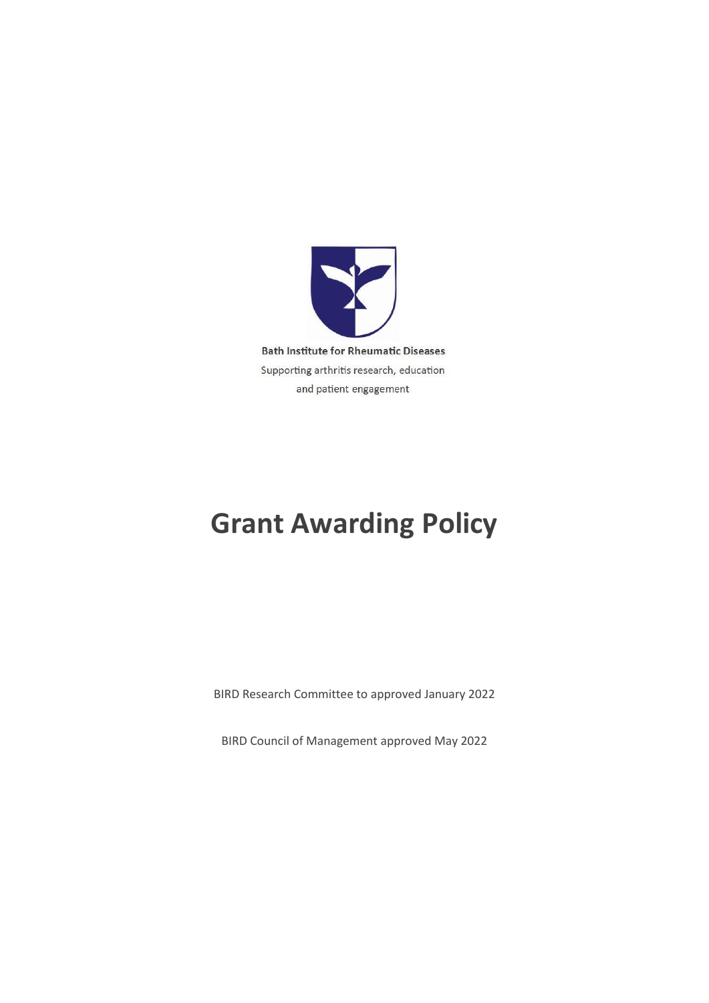

# **Grant Awarding Policy**

BIRD Research Committee to approved January 2022

BIRD Council of Management approved May 2022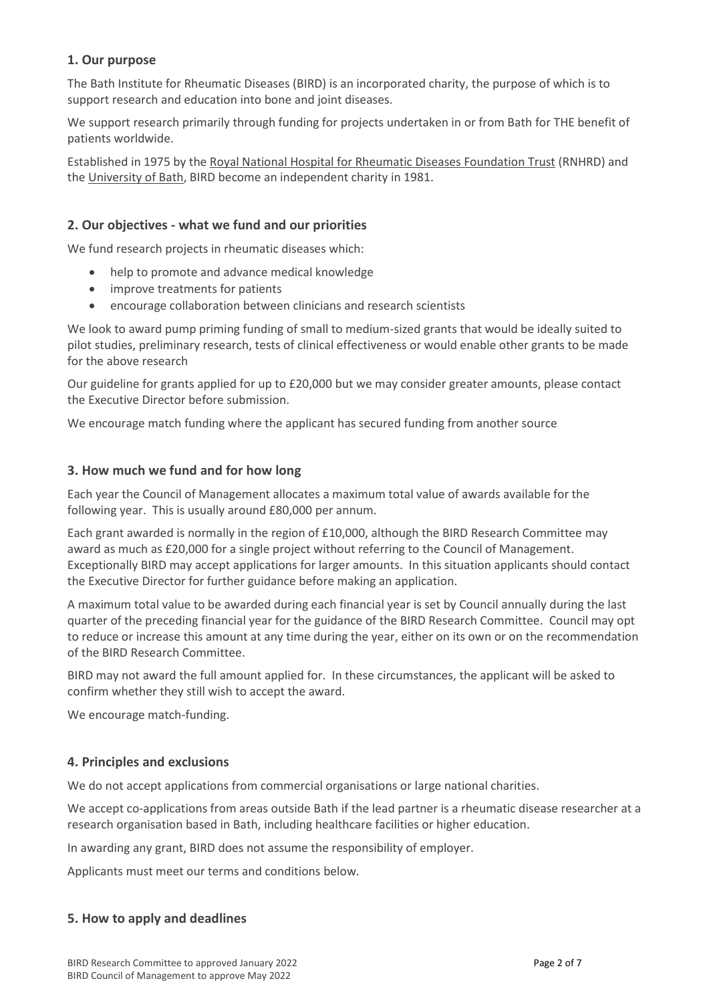# **1. Our purpose**

The Bath Institute for Rheumatic Diseases (BIRD) is an incorporated charity, the purpose of which is to support research and education into bone and joint diseases.

We support research primarily through funding for projects undertaken in or from Bath for THE benefit of patients worldwide.

Established in 1975 by the [Royal National Hospital for Rheumatic Diseases Foundation Trust](http://www.rnhrd.nhs.uk/) (RNHRD) and the [University of Bath,](http://www.bath.ac.uk/) BIRD become an independent charity in 1981.

# **2. Our objectives - what we fund and our priorities**

We fund research projects in rheumatic diseases which:

- help to promote and advance medical knowledge
- improve treatments for patients
- encourage collaboration between clinicians and research scientists

We look to award pump priming funding of small to medium-sized grants that would be ideally suited to pilot studies, preliminary research, tests of clinical effectiveness or would enable other grants to be made for the above research

Our guideline for grants applied for up to £20,000 but we may consider greater amounts, please contact the Executive Director before submission.

We encourage match funding where the applicant has secured funding from another source

# **3. How much we fund and for how long**

Each year the Council of Management allocates a maximum total value of awards available for the following year. This is usually around £80,000 per annum.

Each grant awarded is normally in the region of £10,000, although the BIRD Research Committee may award as much as £20,000 for a single project without referring to the Council of Management. Exceptionally BIRD may accept applications for larger amounts. In this situation applicants should contact the Executive Director for further guidance before making an application.

A maximum total value to be awarded during each financial year is set by Council annually during the last quarter of the preceding financial year for the guidance of the BIRD Research Committee. Council may opt to reduce or increase this amount at any time during the year, either on its own or on the recommendation of the BIRD Research Committee.

BIRD may not award the full amount applied for. In these circumstances, the applicant will be asked to confirm whether they still wish to accept the award.

We encourage match-funding.

# **4. Principles and exclusions**

We do not accept applications from commercial organisations or large national charities.

We accept co-applications from areas outside Bath if the lead partner is a rheumatic disease researcher at a research organisation based in Bath, including healthcare facilities or higher education.

In awarding any grant, BIRD does not assume the responsibility of employer.

Applicants must meet our terms and conditions below.

# **5. How to apply and deadlines**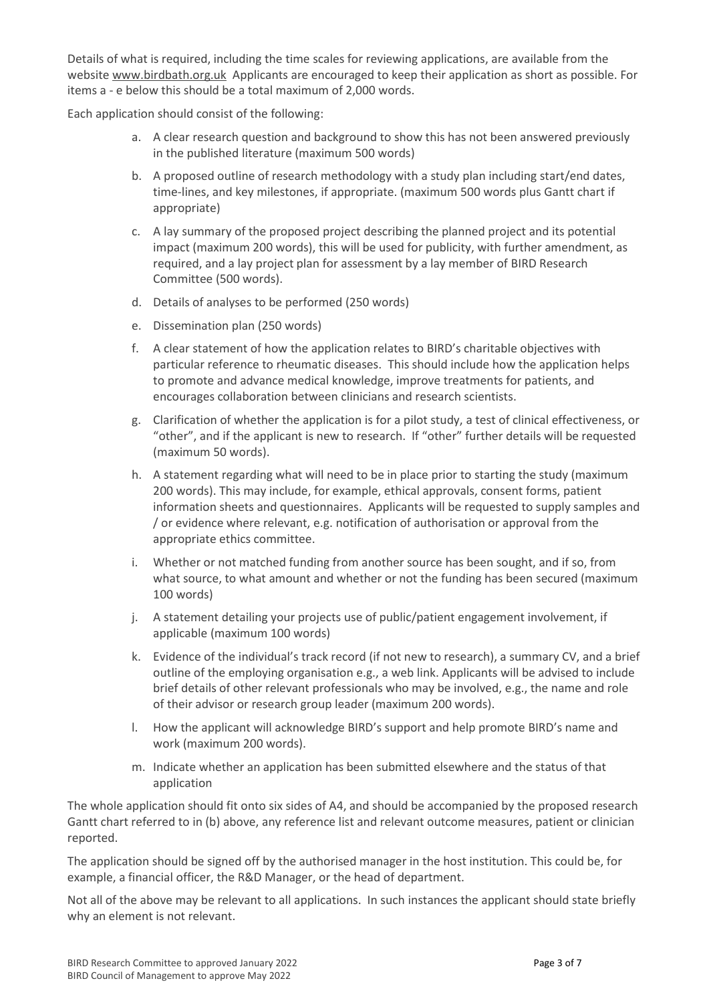Details of what is required, including the time scales for reviewing applications, are available from the website [www.birdbath.org.uk](http://www.birdbath.org.uk/) Applicants are encouraged to keep their application as short as possible. For items a - e below this should be a total maximum of 2,000 words.

Each application should consist of the following:

- a. A clear research question and background to show this has not been answered previously in the published literature (maximum 500 words)
- b. A proposed outline of research methodology with a study plan including start/end dates, time-lines, and key milestones, if appropriate. (maximum 500 words plus Gantt chart if appropriate)
- c. A lay summary of the proposed project describing the planned project and its potential impact (maximum 200 words), this will be used for publicity, with further amendment, as required, and a lay project plan for assessment by a lay member of BIRD Research Committee (500 words).
- d. Details of analyses to be performed (250 words)
- e. Dissemination plan (250 words)
- f. A clear statement of how the application relates to BIRD's charitable objectives with particular reference to rheumatic diseases. This should include how the application helps to promote and advance medical knowledge, improve treatments for patients, and encourages collaboration between clinicians and research scientists.
- g. Clarification of whether the application is for a pilot study, a test of clinical effectiveness, or "other", and if the applicant is new to research. If "other" further details will be requested (maximum 50 words).
- h. A statement regarding what will need to be in place prior to starting the study (maximum 200 words). This may include, for example, ethical approvals, consent forms, patient information sheets and questionnaires. Applicants will be requested to supply samples and / or evidence where relevant, e.g. notification of authorisation or approval from the appropriate ethics committee.
- i. Whether or not matched funding from another source has been sought, and if so, from what source, to what amount and whether or not the funding has been secured (maximum 100 words)
- j. A statement detailing your projects use of public/patient engagement involvement, if applicable (maximum 100 words)
- k. Evidence of the individual's track record (if not new to research), a summary CV, and a brief outline of the employing organisation e.g., a web link. Applicants will be advised to include brief details of other relevant professionals who may be involved, e.g., the name and role of their advisor or research group leader (maximum 200 words).
- l. How the applicant will acknowledge BIRD's support and help promote BIRD's name and work (maximum 200 words).
- m. Indicate whether an application has been submitted elsewhere and the status of that application

The whole application should fit onto six sides of A4, and should be accompanied by the proposed research Gantt chart referred to in (b) above, any reference list and relevant outcome measures, patient or clinician reported.

The application should be signed off by the authorised manager in the host institution. This could be, for example, a financial officer, the R&D Manager, or the head of department.

Not all of the above may be relevant to all applications. In such instances the applicant should state briefly why an element is not relevant.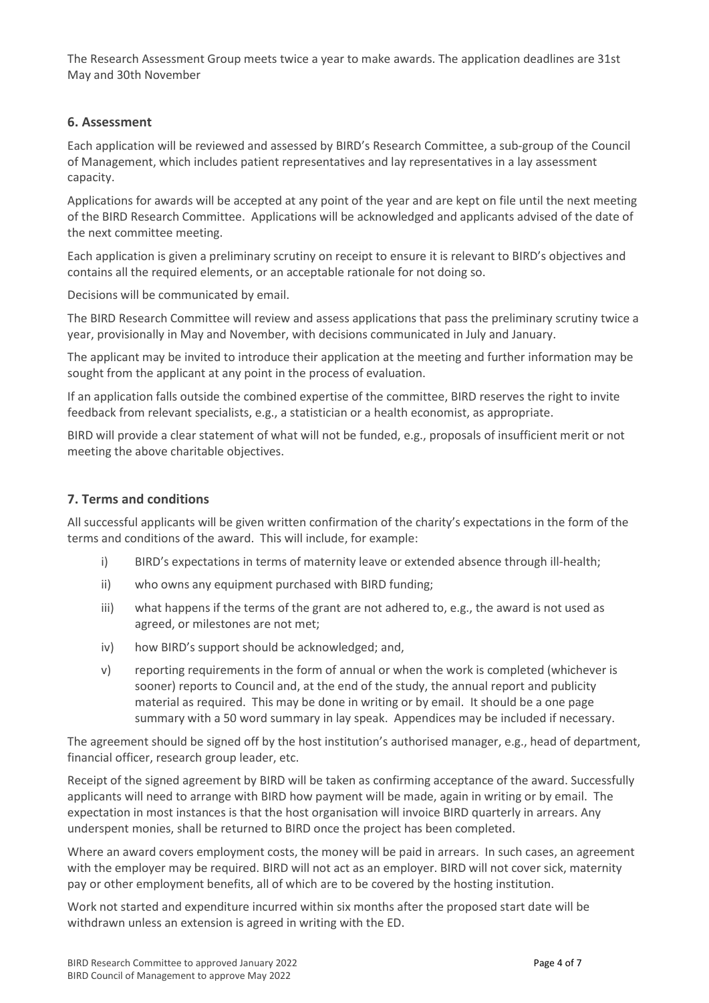The Research Assessment Group meets twice a year to make awards. The application deadlines are 31st May and 30th November

## **6. Assessment**

Each application will be reviewed and assessed by BIRD's Research Committee, a sub-group of the Council of Management, which includes patient representatives and lay representatives in a lay assessment capacity.

Applications for awards will be accepted at any point of the year and are kept on file until the next meeting of the BIRD Research Committee. Applications will be acknowledged and applicants advised of the date of the next committee meeting.

Each application is given a preliminary scrutiny on receipt to ensure it is relevant to BIRD's objectives and contains all the required elements, or an acceptable rationale for not doing so.

Decisions will be communicated by email.

The BIRD Research Committee will review and assess applications that pass the preliminary scrutiny twice a year, provisionally in May and November, with decisions communicated in July and January.

The applicant may be invited to introduce their application at the meeting and further information may be sought from the applicant at any point in the process of evaluation.

If an application falls outside the combined expertise of the committee, BIRD reserves the right to invite feedback from relevant specialists, e.g., a statistician or a health economist, as appropriate.

BIRD will provide a clear statement of what will not be funded, e.g., proposals of insufficient merit or not meeting the above charitable objectives.

#### **7. Terms and conditions**

All successful applicants will be given written confirmation of the charity's expectations in the form of the terms and conditions of the award. This will include, for example:

- i) BIRD's expectations in terms of maternity leave or extended absence through ill-health;
- ii) who owns any equipment purchased with BIRD funding;
- iii) what happens if the terms of the grant are not adhered to, e.g., the award is not used as agreed, or milestones are not met;
- iv) how BIRD's support should be acknowledged; and,
- v) reporting requirements in the form of annual or when the work is completed (whichever is sooner) reports to Council and, at the end of the study, the annual report and publicity material as required. This may be done in writing or by email. It should be a one page summary with a 50 word summary in lay speak. Appendices may be included if necessary.

The agreement should be signed off by the host institution's authorised manager, e.g., head of department, financial officer, research group leader, etc.

Receipt of the signed agreement by BIRD will be taken as confirming acceptance of the award. Successfully applicants will need to arrange with BIRD how payment will be made, again in writing or by email. The expectation in most instances is that the host organisation will invoice BIRD quarterly in arrears. Any underspent monies, shall be returned to BIRD once the project has been completed.

Where an award covers employment costs, the money will be paid in arrears. In such cases, an agreement with the employer may be required. BIRD will not act as an employer. BIRD will not cover sick, maternity pay or other employment benefits, all of which are to be covered by the hosting institution.

Work not started and expenditure incurred within six months after the proposed start date will be withdrawn unless an extension is agreed in writing with the ED.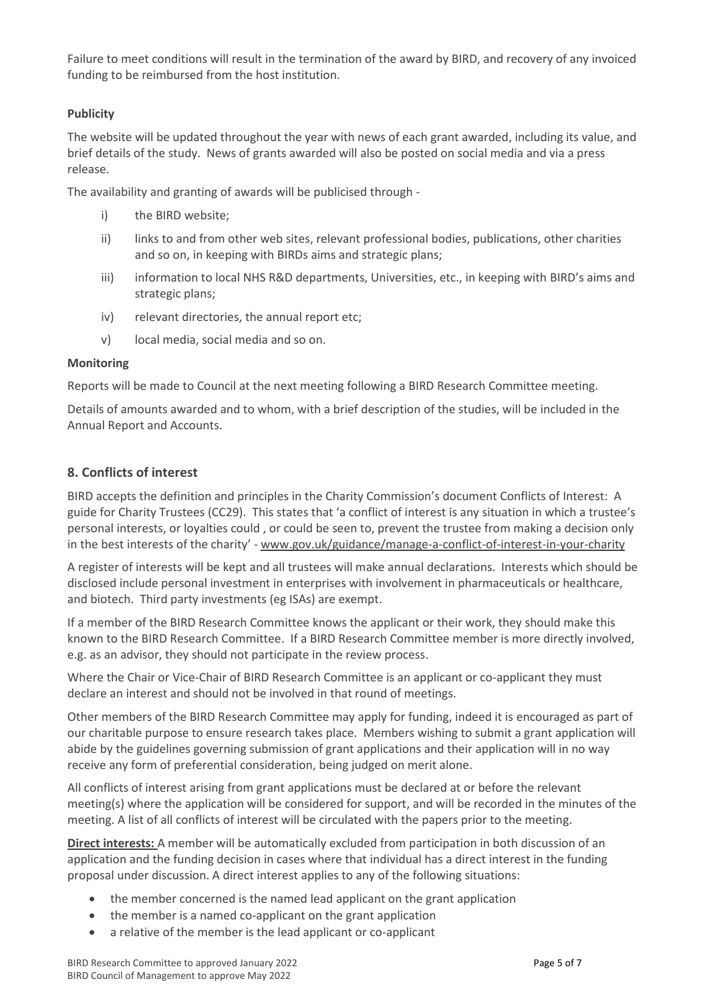Failure to meet conditions will result in the termination of the award by BIRD, and recovery of any invoiced funding to be reimbursed from the host institution.

# **Publicity**

The website will be updated throughout the year with news of each grant awarded, including its value, and brief details of the study. News of grants awarded will also be posted on social media and via a press release.

The availability and granting of awards will be publicised through -

- i) the BIRD website;
- ii) links to and from other web sites, relevant professional bodies, publications, other charities and so on, in keeping with BIRDs aims and strategic plans;
- iii) information to local NHS R&D departments, Universities, etc., in keeping with BIRD's aims and strategic plans;
- iv) relevant directories, the annual report etc;
- v) local media, social media and so on.

# **Monitoring**

Reports will be made to Council at the next meeting following a BIRD Research Committee meeting.

Details of amounts awarded and to whom, with a brief description of the studies, will be included in the Annual Report and Accounts.

# **8. Conflicts of interest**

BIRD accepts the definition and principles in the Charity Commission's document Conflicts of Interest: A guide for Charity Trustees (CC29). This states that 'a conflict of interest is any situation in which a trustee's personal interests, or loyalties could , or could be seen to, prevent the trustee from making a decision only in the best interests of the charity' - [www.gov.uk/guidance/manage-a-conflict-of-interest-in-your-charity](http://www.gov.uk/guidance/manage-a-conflict-of-interest-in-your-charity)

A register of interests will be kept and all trustees will make annual declarations. Interests which should be disclosed include personal investment in enterprises with involvement in pharmaceuticals or healthcare, and biotech. Third party investments (eg ISAs) are exempt.

If a member of the BIRD Research Committee knows the applicant or their work, they should make this known to the BIRD Research Committee. If a BIRD Research Committee member is more directly involved, e.g. as an advisor, they should not participate in the review process.

Where the Chair or Vice-Chair of BIRD Research Committee is an applicant or co-applicant they must declare an interest and should not be involved in that round of meetings.

Other members of the BIRD Research Committee may apply for funding, indeed it is encouraged as part of our charitable purpose to ensure research takes place. Members wishing to submit a grant application will abide by the guidelines governing submission of grant applications and their application will in no way receive any form of preferential consideration, being judged on merit alone.

All conflicts of interest arising from grant applications must be declared at or before the relevant meeting(s) where the application will be considered for support, and will be recorded in the minutes of the meeting. A list of all conflicts of interest will be circulated with the papers prior to the meeting.

**Direct interests:** A member will be automatically excluded from participation in both discussion of an application and the funding decision in cases where that individual has a direct interest in the funding proposal under discussion. A direct interest applies to any of the following situations:

- the member concerned is the named lead applicant on the grant application
- the member is a named co-applicant on the grant application
- a relative of the member is the lead applicant or co-applicant